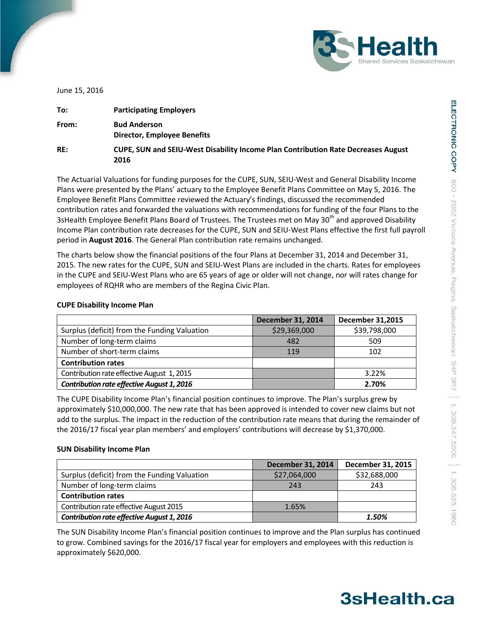

June 15, 2016

| To:   | <b>Participating Employers</b>                                                            |
|-------|-------------------------------------------------------------------------------------------|
| From: | <b>Bud Anderson</b><br><b>Director, Employee Benefits</b>                                 |
| RE:   | CUPE, SUN and SEIU-West Disability Income Plan Contribution Rate Decreases August<br>2016 |

The Actuarial Valuations for funding purposes for the CUPE, SUN, SEIU-West and General Disability Income Plans were presented by the Plans' actuary to the Employee Benefit Plans Committee on May 5, 2016. The Employee Benefit Plans Committee reviewed the Actuary's findings, discussed the recommended contribution rates and forwarded the valuations with recommendations for funding of the four Plans to the 3sHealth Employee Benefit Plans Board of Trustees. The Trustees met on May 30<sup>th</sup> and approved Disability Income Plan contribution rate decreases for the CUPE, SUN and SEIU-West Plans effective the first full payroll period in **August 2016**. The General Plan contribution rate remains unchanged.

The charts below show the financial positions of the four Plans at December 31, 2014 and December 31, 2015. The new rates for the CUPE, SUN and SEIU-West Plans are included in the charts. Rates for employees in the CUPE and SEIU-West Plans who are 65 years of age or older will not change, nor will rates change for employees of RQHR who are members of the Regina Civic Plan.

|                                                   | <b>December 31, 2014</b> | <b>December 31,2015</b> |
|---------------------------------------------------|--------------------------|-------------------------|
| Surplus (deficit) from the Funding Valuation      | \$29,369,000             | \$39,798,000            |
| Number of long-term claims                        | 482                      | 509                     |
| Number of short-term claims                       | 119                      | 102                     |
| <b>Contribution rates</b>                         |                          |                         |
| Contribution rate effective August 1, 2015        |                          | 3.22%                   |
| <b>Contribution rate effective August 1, 2016</b> |                          | 2.70%                   |

## **CUPE Disability Income Plan**

The CUPE Disability Income Plan's financial position continues to improve. The Plan's surplus grew by approximately \$10,000,000. The new rate that has been approved is intended to cover new claims but not add to the surplus. The impact in the reduction of the contribution rate means that during the remainder of the 2016/17 fiscal year plan members' and employers' contributions will decrease by \$1,370,000.

## **SUN Disability Income Plan**

|                                                   | <b>December 31, 2014</b> | December 31, 2015 |
|---------------------------------------------------|--------------------------|-------------------|
| Surplus (deficit) from the Funding Valuation      | \$27,064,000             | \$32,688,000      |
| Number of long-term claims                        | 243                      | 243               |
| <b>Contribution rates</b>                         |                          |                   |
| Contribution rate effective August 2015           | 1.65%                    |                   |
| <b>Contribution rate effective August 1, 2016</b> |                          | 1.50%             |

The SUN Disability Income Plan's financial position continues to improve and the Plan surplus has continued to grow. Combined savings for the 2016/17 fiscal year for employers and employees with this reduction is approximately \$620,000.

# 3sHealth.ca